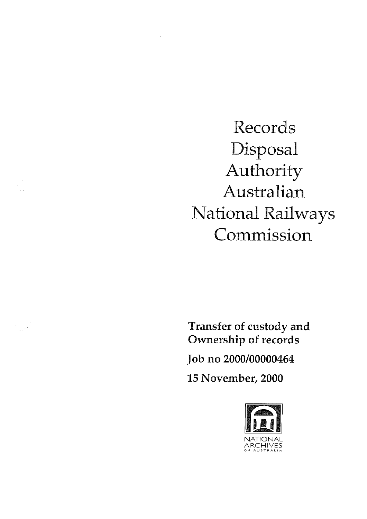Records Disposal Authority Australian National Railways Commission

 $\frac{1}{\sqrt{2}}\frac{1}{\sqrt{2}}\frac{1}{\sqrt{2}}\frac{1}{\sqrt{2}}\left(\frac{1}{\sqrt{2}}\right)^2\frac{1}{\sqrt{2}}\left(\frac{1}{\sqrt{2}}\right)^2\frac{1}{\sqrt{2}}\left(\frac{1}{\sqrt{2}}\right)^2\frac{1}{\sqrt{2}}\left(\frac{1}{\sqrt{2}}\right)^2\frac{1}{\sqrt{2}}\left(\frac{1}{\sqrt{2}}\right)^2\frac{1}{\sqrt{2}}\frac{1}{\sqrt{2}}\frac{1}{\sqrt{2}}\frac{1}{\sqrt{2}}\frac{1}{\sqrt{2}}\frac{1}{\sqrt{2}}$ 

 $\label{eq:2.1} \begin{array}{l} \left\langle \frac{\partial \mathcal{E}}{\partial \mathcal{E}} \right\rangle_{\mathcal{E}} \\ \left\langle \frac{\partial \mathcal{E}}{\partial \mathcal{E}} \right\rangle_{\mathcal{E}} \left\langle \frac{\partial \mathcal{E}}{\partial \mathcal{E}} \right\rangle_{\mathcal{E}} \\ \left\langle \frac{\partial \mathcal{E}}{\partial \mathcal{E}} \right\rangle_{\mathcal{E}} \left\langle \frac{\partial \mathcal{E}}{\partial \mathcal{E}} \right\rangle_{\mathcal{E}} \end{array}$ 

Transfer of custody and Ownership of records Job no 2000/00000464 15 November, 2000

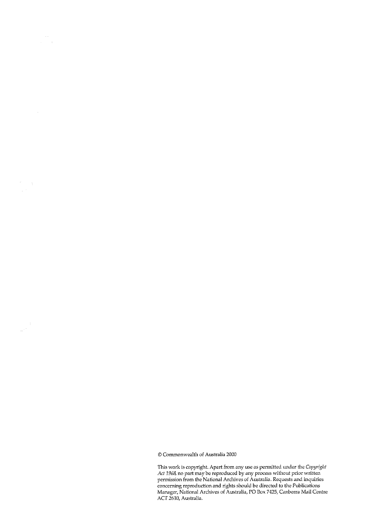$\label{eq:2.1} \begin{split} \frac{d\mathbf{r}}{d\mathbf{r}}&= \frac{d\mathbf{r}}{d\mathbf{r}}\left(\mathbf{r}-\mathbf{r}\right)\\ &\frac{d\mathbf{r}}{d\mathbf{r}}\left(\mathbf{r}-\mathbf{r}\right)\left(\mathbf{r}-\mathbf{r}\right)\\ &\frac{d\mathbf{r}}{d\mathbf{r}}\left(\mathbf{r}-\mathbf{r}\right)\left(\mathbf{r}-\mathbf{r}\right)\\ &\frac{d\mathbf{r}}{d\mathbf{r}}\left(\mathbf{r}-\mathbf{r}\right)\\ &\frac{d\mathbf{r}}{d$ 

 $\label{eq:2.1} \frac{d^2\phi}{d\phi^2} = \frac{1}{4\pi}\frac{1}{\phi^2} \frac{d\phi}{d\phi^2} \frac{d\phi}{d\phi^2} \, .$ 

 $\frac{1}{2\pi\epsilon^2}$ 

© Commonwealth of Australia 2000

This work is copyright. Apart from any use as permitted under the *Copyright*  Act 1968, no part may be reproduced by any process without prior written permission from the National Archives of Australia. Requests and inquiries concerning reproduction and rights should be directed to the Publications Manager, National Archives of Australia, PO Box 7425, Canberra Mail Centre ACT 2610, Australia.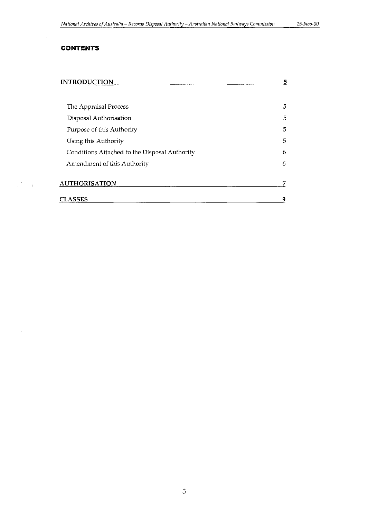## **CONTENTS**

 $\bar{\gamma}$ 

 $\frac{1}{2} \sum_{i=1}^n \frac{1}{2} \sum_{j=1}^n \frac{1}{2} \sum_{j=1}^n \frac{1}{2} \sum_{j=1}^n \frac{1}{2} \sum_{j=1}^n \frac{1}{2} \sum_{j=1}^n \frac{1}{2} \sum_{j=1}^n \frac{1}{2} \sum_{j=1}^n \frac{1}{2} \sum_{j=1}^n \frac{1}{2} \sum_{j=1}^n \frac{1}{2} \sum_{j=1}^n \frac{1}{2} \sum_{j=1}^n \frac{1}{2} \sum_{j=1}^n \frac{1}{2} \sum_{j=$ 

| <b>INTRODUCTION</b>                           | 5 |
|-----------------------------------------------|---|
|                                               |   |
| The Appraisal Process                         | 5 |
| Disposal Authorisation                        | 5 |
| Purpose of this Authority                     | 5 |
| Using this Authority                          | 5 |
| Conditions Attached to the Disposal Authority | 6 |
| Amendment of this Authority                   | 6 |
| <b>AUTHORISATION</b>                          |   |
| CLASSES                                       | 9 |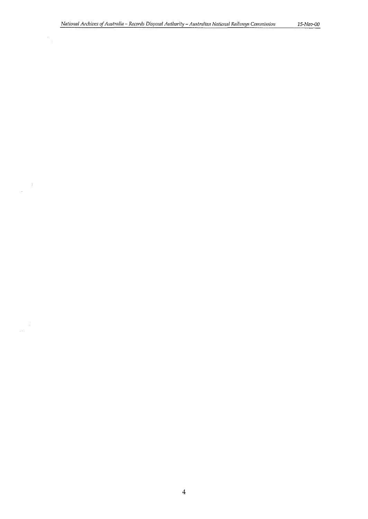$\frac{1}{\sqrt{2}}\sum_{i=1}^{n-1}\frac{1}{i!}\sum_{j=1}^{n-1}\frac{1}{j!}\sum_{j=1}^{n-1}\frac{1}{j!}\sum_{j=1}^{n-1}\frac{1}{j!}\sum_{j=1}^{n-1}\frac{1}{j!}\sum_{j=1}^{n-1}\frac{1}{j!}\sum_{j=1}^{n-1}\frac{1}{j!}\sum_{j=1}^{n-1}\frac{1}{j!}\sum_{j=1}^{n-1}\frac{1}{j!}\sum_{j=1}^{n-1}\frac{1}{j!}\sum_{j=1}^{n-1}\frac{1}{j!}\sum_{j=1}^{n-1}\$ 

 $\mathcal{A}^{\text{max}}$ 

 $\frac{1}{2} \sum_{i=1}^{n} \frac{1}{2} \sum_{j=1}^{n} \frac{1}{2} \sum_{j=1}^{n} \frac{1}{2} \sum_{j=1}^{n} \frac{1}{2} \sum_{j=1}^{n} \frac{1}{2} \sum_{j=1}^{n} \frac{1}{2} \sum_{j=1}^{n} \frac{1}{2} \sum_{j=1}^{n} \frac{1}{2} \sum_{j=1}^{n} \frac{1}{2} \sum_{j=1}^{n} \frac{1}{2} \sum_{j=1}^{n} \frac{1}{2} \sum_{j=1}^{n} \frac{1}{2} \sum_{j=1}^{n$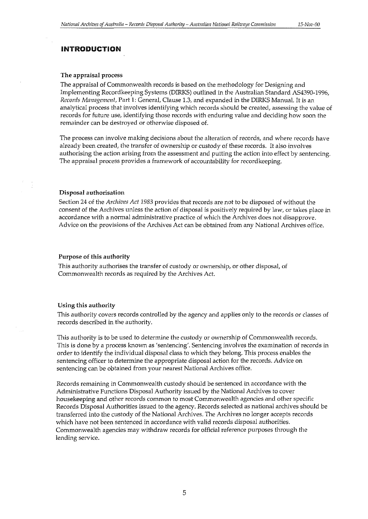## **INTRODUCTION**

#### The appraisal process

The appraisal of Commonwealth records is based on the methodology for Designing and Implementing Recordkeeping Systems (DIRKS) outlined in the Australian Standard AS4390-1996, *Records Management,* Part 1: General, Clause 1.3, and expanded in the DIRKS Manual. It is an analytical process that involves identifying which records should be created, assessing the value of records for future use, identifying those records with enduring value and deciding how soon the remainder can be destroyed or otherwise disposed of.

The process can involve making decisions *about* the alteration of records, and where records have already been created, the transfer of ownership or custody of these records. It also involves authorising the action arising from the assessment and putting the action into effect by sentencing. The appraisal process provides a framework of accountability for recordkeeping.

#### Disposal authorisation

Section 24 of the *Archives Act* 1983 provides that records are not to be disposed of without the consent of the Archives unless the action of disposal is positively required by law, or takes place in accordance with a normal administrative practice of which the Archives does not disapprove. Advice on the provisions of the Archives Act can be obtained from any National Archives office.

#### Purpose of this authority

This authority authorises the transfer of custody or ownership, or other disposal, of Commonwealth records as required by the Archives Act.

#### Using this authority

This authority covers records controlled by the agency and applies only to the records or classes of records described in the authority.

This authority is to be used to determine the custody or ownership of Commonwealth records. 111is is done by a process known as 'sentencing'. Sentencing involves the examination of records in order to identify the individual disposal class to which they belong. 111is process enables the sentencing officer to determine the appropriate disposal action for the records. Advice on sentencing can be obtained from your nearest National Archives office.

Records remaining in Commonwealth custody should be sentenced in accordance with the Administrative Functions Disposal Authority issued by the National Archives to cover housekeeping and other records common to most Commonwealth agencies and other specific Records Disposal Authorities issued to the agency. Records selected as national archives should be transferred into the custody of the National Archives. 111e Archives no longer accepts records which have not been sentenced in accordance with valid records disposal authorities. Commonwealth agencies may withdraw records for official reference purposes through the lending service.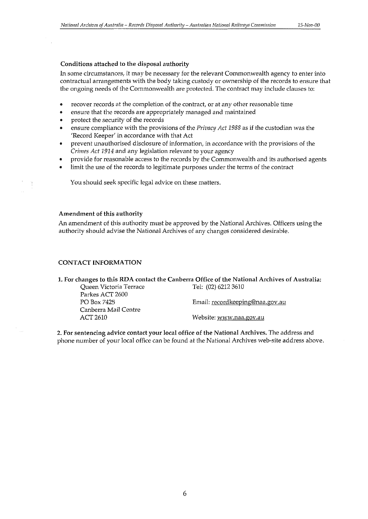#### Conditions attached to the disposal authority

In some circumstances, it may be necessary for the relevant Commonwealth agency to enter into contractual arrangements with the body taking custody or ownership of the records to ensure that the ongoing needs of the Commonwealth are protected. The contract may include clauses to:

- **• recover records at the completion of the contract, or at any other reasonable time**
- ensure that the records are appropriately managed and maintained
- protect the security of the records
- ensure compliance with the provisions of the *Privacy Act* 1988 as if the custodian was the 'Record Keeper' in accordance with that *Act*
- prevent unauthorised disclosure of information, in accordance with the provisions of the *Crimes Act* 1914 and any legislation relevant to your agency
- provide for reasonable access to the records by the Commonwealth and its authorised agents
- limit the use of the records to legitimate purposes under the terms of the contract

You should seek specific legal advice on these matters.

#### Amendment of this authority

An amendment of this authority *must* be approved by the National Archives. Officers using the authority should advise the National Archives of any changes considered desirable.

## CONTACT INFORMATION

#### 1, For changes to this RDA contact the Canberra Office of the National Archives of Australia:

Queen Victoria Terrace Tel: (02) 6212 3610 Parkes ACT 2600 Canberra Mail Centre

PO Box 7425 **Email:** recordkeeping@naa.gov.au

ACT 2610 Website: www.naa.gov.au

2. For sentencing advice contact your local office of the National Archives. The address and phone number of your local office can be found at the National Archives web-site address above.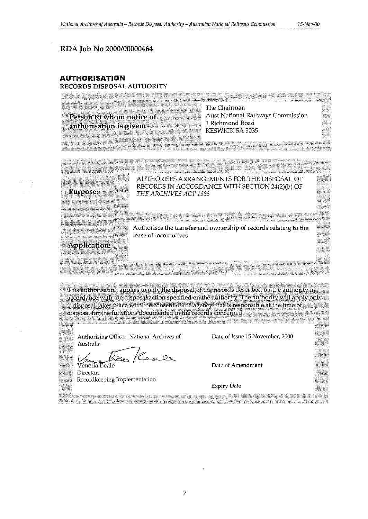#### **RDA Job No** *2000/00000464*

## **AUTHORISATION**

**RECORDS DISPOSAL AUTHORITY** 

Person to whom notice of authorisation is given:

The Chairman Aust National Railways Commission 1 Richmond Road **KESWICK SA 5035** 



This authorisation applies to only the disposal of the records described on the authority in accordance with the disposal action specified on the authority. The authority will apply only if disposal takes place with the consent of the agency that is responsible at the time of disposal for the functions documented in the records concerned.

Authorising Officer, National Archives of Date of Issue 15 November, 2000 **Australia** 

 $Q_{\mathbf{S}}$ Venetia Beale **Date of Amendment** 

**Director, Recordkeeping Implementation** 

Expiry Date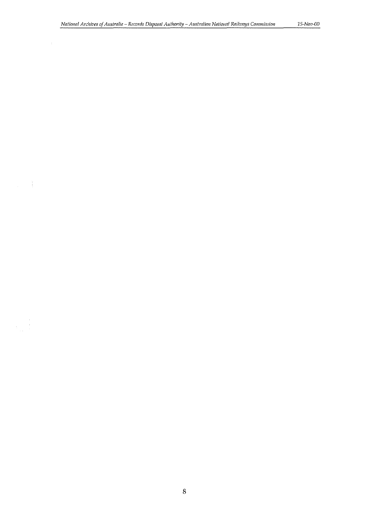$\bar{\mathrm{r}}$ 

 $\frac{1}{2}$  ,  $\frac{1}{2}$